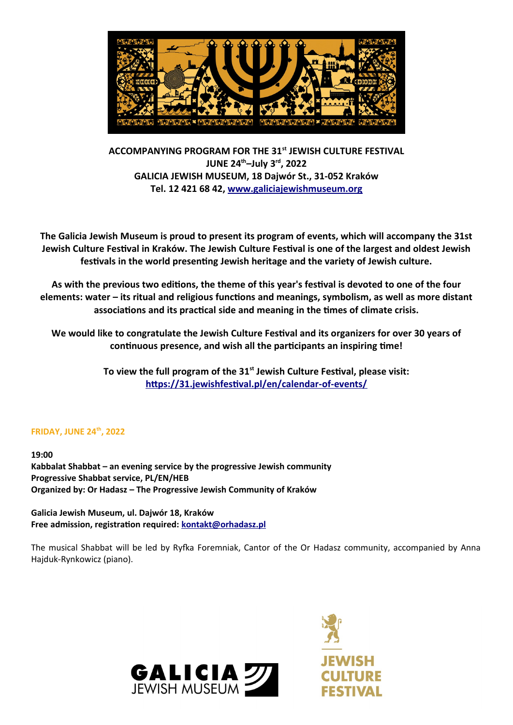

**ACCOMPANYING PROGRAM FOR THE 31st JEWISH CULTURE FESTIVAL JUNE 24th–July 3rd, 2022 GALICIA JEWISH MUSEUM, 18 Dajwór St., 31-052 Kraków Tel. 12 421 68 42, [www.galiciajewishmuseum.org](http://www.galiciajewishmuseum.org/)**

**The Galicia Jewish Museum is proud to present its program of events, which will accompany the 31st Jewish Culture Festival in Kraków. The Jewish Culture Festival is one of the largest and oldest Jewish festivals in the world presenting Jewish heritage and the variety of Jewish culture.**

**As with the previous two editions, the theme of this year's festival is devoted to one of the four elements: water – its ritual and religious functions and meanings, symbolism, as well as more distant associations and its practical side and meaning in the times of climate crisis.**

**We would like to congratulate the Jewish Culture Festival and its organizers for over 30 years of continuous presence, and wish all the participants an inspiring time!**

> **To view the full program of the 31st Jewish Culture Festival, please visit: https://31.jewishfestival.pl/en/calendar-of-events/**

# **FRIDAY, JUNE 24th, 2022**

**19:00 Kabbalat Shabbat – an evening service by the progressive Jewish community Progressive Shabbat service, PL/EN/HEB Organized by: Or Hadasz – The Progressive Jewish Community of Kraków**

**Galicia Jewish Museum, ul. Dajwór 18, Kraków Free admission, registration required: kontakt@orhadasz.pl**

The musical Shabbat will be led by Ryfka Foremniak, Cantor of the Or Hadasz community, accompanied by Anna Hajduk-Rynkowicz (piano).



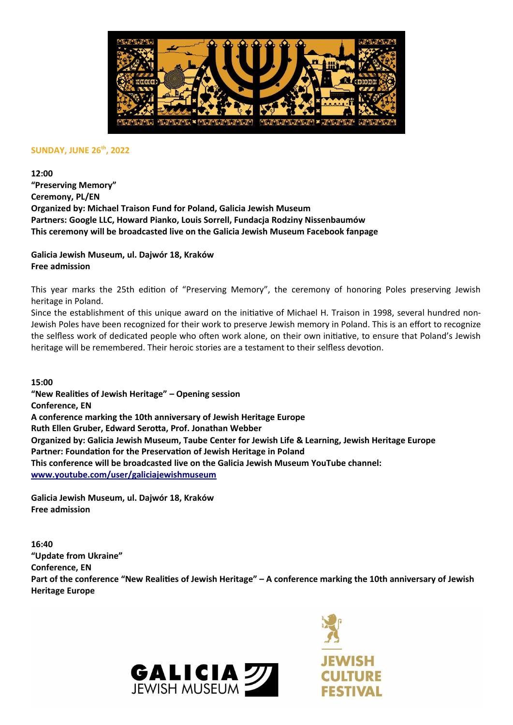

#### **SUNDAY, JUNE 26th, 2022**

**12:00**

**"Preserving Memory" Ceremony, PL/EN Organized by: Michael Traison Fund for Poland, Galicia Jewish Museum Partners: Google LLC, Howard Pianko, Louis Sorrell, Fundacja Rodziny Nissenbaumów This ceremony will be broadcasted live on the Galicia Jewish Museum Facebook fanpage**

**Galicia Jewish Museum, ul. Dajwór 18, Kraków Free admission**

This year marks the 25th edition of "Preserving Memory", the ceremony of honoring Poles preserving Jewish heritage in Poland.

Since the establishment of this unique award on the initiative of Michael H. Traison in 1998, several hundred non-Jewish Poles have been recognized for their work to preserve Jewish memory in Poland. This is an effort to recognize the selfless work of dedicated people who often work alone, on their own initiative, to ensure that Poland's Jewish heritage will be remembered. Their heroic stories are a testament to their selfless devotion.

**15:00 "New Realities of Jewish Heritage" – Opening session Conference, EN A conference marking the 10th anniversary of Jewish Heritage Europe Ruth Ellen Gruber, Edward Serotta, Prof. Jonathan Webber Organized by: Galicia Jewish Museum, Taube Center for Jewish Life & Learning, Jewish Heritage Europe Partner: Foundation for the Preservation of Jewish Heritage in Poland This conference will be broadcasted live on the Galicia Jewish Museum YouTube channel: [www.youtube.com/user/galiciajewishmuseum](http://www.youtube.com/user/galiciajewishmuseum)**

**Galicia Jewish Museum, ul. Dajwór 18, Kraków Free admission**

**16:40 "Update from Ukraine" Conference, EN Part of the conference "New Realities of Jewish Heritage" – A conference marking the 10th anniversary of Jewish Heritage Europe**



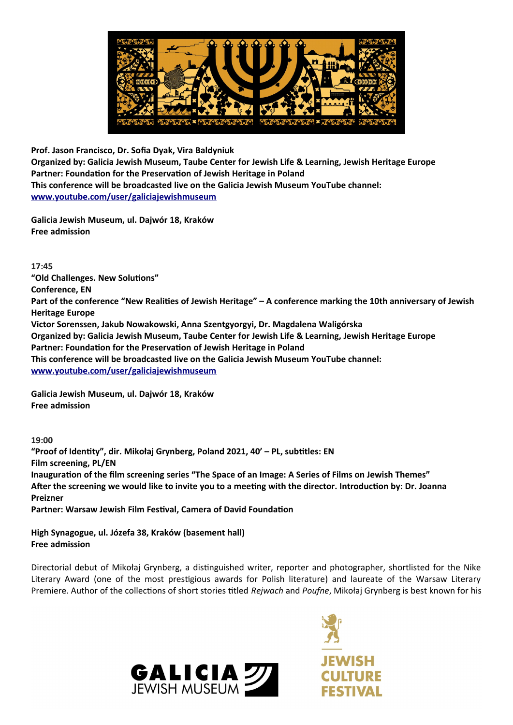

**Prof. Jason Francisco, Dr. Sofia Dyak, Vira Baldyniuk**

**Organized by: Galicia Jewish Museum, Taube Center for Jewish Life & Learning, Jewish Heritage Europe Partner: Foundation for the Preservation of Jewish Heritage in Poland This conference will be broadcasted live on the Galicia Jewish Museum YouTube channel: [www.youtube.com/user/galiciajewishmuseum](http://www.youtube.com/user/galiciajewishmuseum)**

**Galicia Jewish Museum, ul. Dajwór 18, Kraków Free admission**

**17:45 "Old Challenges. New Solutions" Conference, EN Part of the conference "New Realities of Jewish Heritage" – A conference marking the 10th anniversary of Jewish Heritage Europe Victor Sorenssen, Jakub Nowakowski, Anna Szentgyorgyi, Dr. Magdalena Waligórska Organized by: Galicia Jewish Museum, Taube Center for Jewish Life & Learning, Jewish Heritage Europe Partner: Foundation for the Preservation of Jewish Heritage in Poland This conference will be broadcasted live on the Galicia Jewish Museum YouTube channel: www.youtube.com/user/galiciajewishmuseum**

**Galicia Jewish Museum, ul. Dajwór 18, Kraków Free admission**

**19:00 "Proof of Identity", dir. Mikołaj Grynberg, Poland 2021, 40' – PL, subtitles: EN Film screening, PL/EN Inauguration of the film screening series "The Space of an Image: A Series of Films on Jewish Themes" After the screening we would like to invite you to a meeting with the director. Introduction by: Dr. Joanna Preizner Partner: Warsaw Jewish Film Festival, Camera of David Foundation**

**High Synagogue, ul. Józefa 38, Kraków (basement hall) Free admission**

Directorial debut of Mikołaj Grynberg, a distinguished writer, reporter and photographer, shortlisted for the Nike Literary Award (one of the most prestigious awards for Polish literature) and laureate of the Warsaw Literary Premiere. Author of the collections of short stories titled *Rejwach* and *Poufne*, Mikołaj Grynberg is best known for his



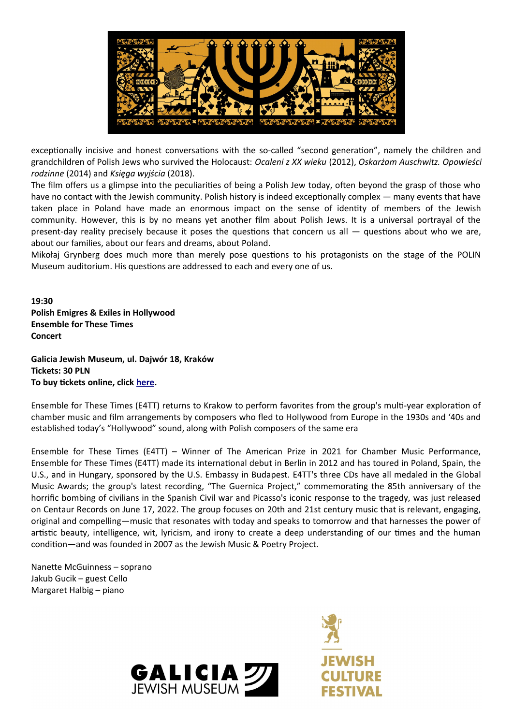

exceptionally incisive and honest conversations with the so-called "second generation", namely the children and grandchildren of Polish Jews who survived the Holocaust: *Ocaleni z XX wieku* (2012), *Oskarżam Auschwitz. Opowieści rodzinne* (2014) and *Księga wyjścia* (2018).

The film offers us a glimpse into the peculiarities of being a Polish Jew today, often beyond the grasp of those who have no contact with the Jewish community. Polish history is indeed exceptionally complex — many events that have taken place in Poland have made an enormous impact on the sense of identity of members of the Jewish community. However, this is by no means yet another film about Polish Jews. It is a universal portrayal of the present-day reality precisely because it poses the questions that concern us all — questions about who we are, about our families, about our fears and dreams, about Poland.

Mikołaj Grynberg does much more than merely pose questions to his protagonists on the stage of the POLIN Museum auditorium. His questions are addressed to each and every one of us.

**19:30 Polish Emigres & Exiles in Hollywood Ensemble for These Times Concert**

**Galicia Jewish Museum, ul. Dajwór 18, Kraków Tickets: 30 PLN To buy tickets online, click [here](https://tickets-online.galiciajewishmuseum.org/en/event/sunday-26-06-202219-30pm-ensemble-for-these-times-polish-emigres-exiles-in-hollywood).**

Ensemble for These Times (E4TT) returns to Krakow to perform favorites from the group's multi-year exploration of chamber music and film arrangements by composers who fled to Hollywood from Europe in the 1930s and '40s and established today's "Hollywood" sound, along with Polish composers of the same era

Ensemble for These Times (E4TT) – Winner of The American Prize in 2021 for Chamber Music Performance, Ensemble for These Times (E4TT) made its international debut in Berlin in 2012 and has toured in Poland, Spain, the U.S., and in Hungary, sponsored by the U.S. Embassy in Budapest. E4TT's three CDs have all medaled in the Global Music Awards; the group's latest recording, "The Guernica Project," commemorating the 85th anniversary of the horrific bombing of civilians in the Spanish Civil war and Picasso's iconic response to the tragedy, was just released on Centaur Records on June 17, 2022. The group focuses on 20th and 21st century music that is relevant, engaging, original and compelling—music that resonates with today and speaks to tomorrow and that harnesses the power of artistic beauty, intelligence, wit, lyricism, and irony to create a deep understanding of our times and the human condition—and was founded in 2007 as the Jewish Music & Poetry Project.

Nanette McGuinness – soprano Jakub Gucik – guest Cello Margaret Halbig – piano



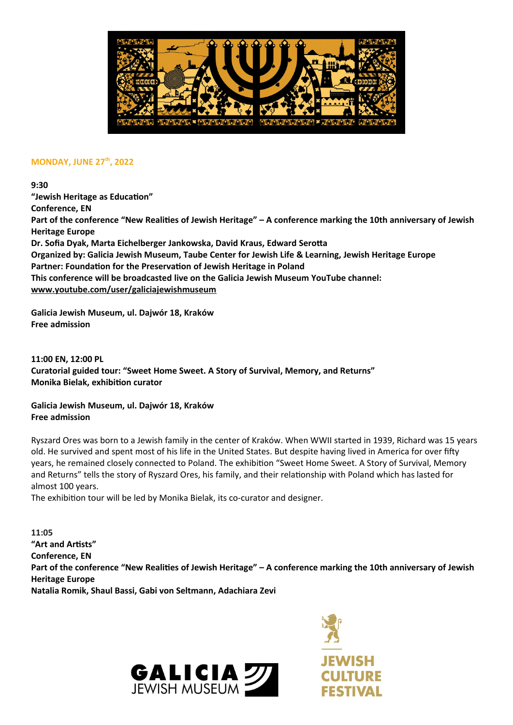

### **MONDAY, JUNE 27th, 2022**

**9:30**

**"Jewish Heritage as Education" Conference, EN Part of the conference "New Realities of Jewish Heritage" – A conference marking the 10th anniversary of Jewish Heritage Europe Dr. Sofia Dyak, Marta Eichelberger Jankowska, David Kraus, Edward Serotta Organized by: Galicia Jewish Museum, Taube Center for Jewish Life & Learning, Jewish Heritage Europe Partner: Foundation for the Preservation of Jewish Heritage in Poland This conference will be broadcasted live on the Galicia Jewish Museum YouTube channel: www.youtube.com/user/galiciajewishmuseum**

**Galicia Jewish Museum, ul. Dajwór 18, Kraków Free admission**

**11:00 EN, 12:00 PL Curatorial guided tour: "Sweet Home Sweet. A Story of Survival, Memory, and Returns" Monika Bielak, exhibition curator**

**Galicia Jewish Museum, ul. Dajwór 18, Kraków Free admission**

Ryszard Ores was born to a Jewish family in the center of Kraków. When WWII started in 1939, Richard was 15 years old. He survived and spent most of his life in the United States. But despite having lived in America for over fifty years, he remained closely connected to Poland. The exhibition "Sweet Home Sweet. A Story of Survival, Memory and Returns" tells the story of Ryszard Ores, his family, and their relationship with Poland which has lasted for almost 100 years.

The exhibition tour will be led by Monika Bielak, its co-curator and designer.

**11:05 "Art and Artists" Conference, EN Part of the conference "New Realities of Jewish Heritage" – A conference marking the 10th anniversary of Jewish Heritage Europe Natalia Romik, Shaul Bassi, Gabi von Seltmann, Adachiara Zevi**



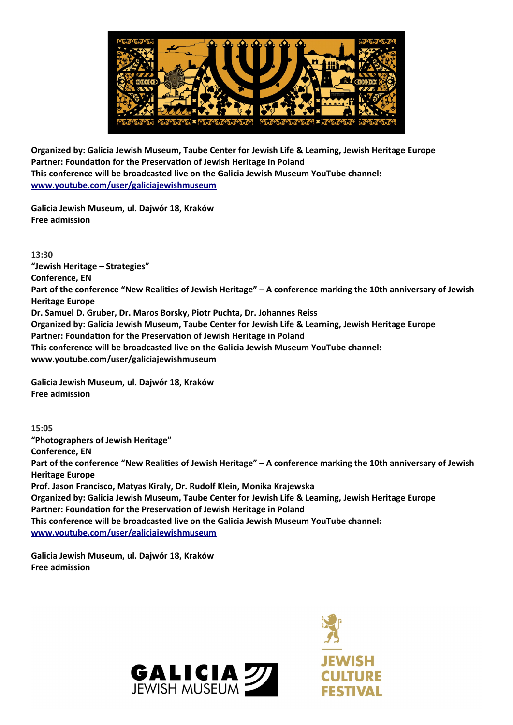

**Organized by: Galicia Jewish Museum, Taube Center for Jewish Life & Learning, Jewish Heritage Europe Partner: Foundation for the Preservation of Jewish Heritage in Poland This conference will be broadcasted live on the Galicia Jewish Museum YouTube channel: www.youtube.com/user/galiciajewishmuseum**

**Galicia Jewish Museum, ul. Dajwór 18, Kraków Free admission**

**13:30 "Jewish Heritage – Strategies" Conference, EN Part of the conference "New Realities of Jewish Heritage" – A conference marking the 10th anniversary of Jewish Heritage Europe Dr. Samuel D. Gruber, Dr. Maros Borsky, Piotr Puchta, Dr. Johannes Reiss Organized by: Galicia Jewish Museum, Taube Center for Jewish Life & Learning, Jewish Heritage Europe Partner: Foundation for the Preservation of Jewish Heritage in Poland This conference will be broadcasted live on the Galicia Jewish Museum YouTube channel: www.youtube.com/user/galiciajewishmuseum**

**Galicia Jewish Museum, ul. Dajwór 18, Kraków Free admission**

**15:05 "Photographers of Jewish Heritage" Conference, EN Part of the conference "New Realities of Jewish Heritage" – A conference marking the 10th anniversary of Jewish Heritage Europe Prof. Jason Francisco, Matyas Kiraly, Dr. Rudolf Klein, Monika Krajewska Organized by: Galicia Jewish Museum, Taube Center for Jewish Life & Learning, Jewish Heritage Europe Partner: Foundation for the Preservation of Jewish Heritage in Poland This conference will be broadcasted live on the Galicia Jewish Museum YouTube channel: www.youtube.com/user/galiciajewishmuseum**

**Galicia Jewish Museum, ul. Dajwór 18, Kraków Free admission**



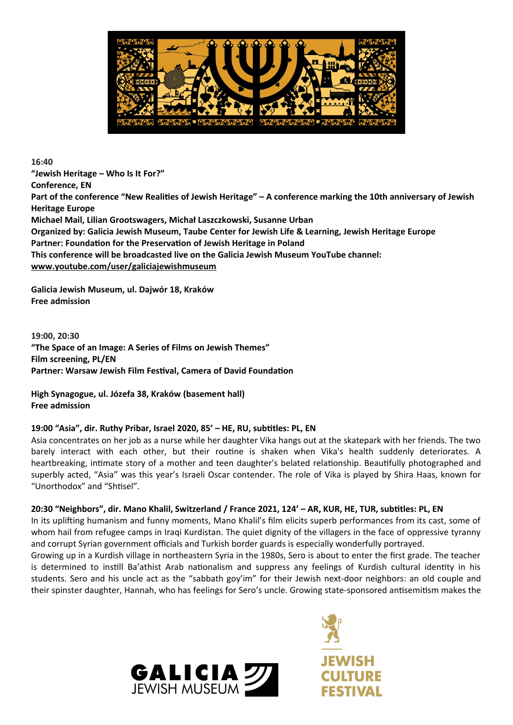

**16:40 "Jewish Heritage – Who Is It For?" Conference, EN Part of the conference "New Realities of Jewish Heritage" – A conference marking the 10th anniversary of Jewish Heritage Europe Michael Mail, Lilian Grootswagers, Michał Laszczkowski, Susanne Urban Organized by: Galicia Jewish Museum, Taube Center for Jewish Life & Learning, Jewish Heritage Europe Partner: Foundation for the Preservation of Jewish Heritage in Poland This conference will be broadcasted live on the Galicia Jewish Museum YouTube channel: www.youtube.com/user/galiciajewishmuseum**

**Galicia Jewish Museum, ul. Dajwór 18, Kraków Free admission**

**19:00, 20:30 "The Space of an Image: A Series of Films on Jewish Themes" Film screening, PL/EN Partner: Warsaw Jewish Film Festival, Camera of David Foundation**

**High Synagogue, ul. Józefa 38, Kraków (basement hall) Free admission**

# **19:00 "Asia", dir. Ruthy Pribar, Israel 2020, 85' – HE, RU, subtitles: PL, EN**

Asia concentrates on her job as a nurse while her daughter Vika hangs out at the skatepark with her friends. The two barely interact with each other, but their routine is shaken when Vika's health suddenly deteriorates. A heartbreaking, intimate story of a mother and teen daughter's belated relationship. Beautifully photographed and superbly acted, "Asia" was this year's Israeli Oscar contender. The role of Vika is played by Shira Haas, known for "Unorthodox" and "Shtisel".

#### **20:30 "Neighbors", dir. Mano Khalil, Switzerland / France 2021, 124' – AR, KUR, HE, TUR, subtitles: PL, EN**

In its uplifting humanism and funny moments, Mano Khalil's film elicits superb performances from its cast, some of whom hail from refugee camps in Iraqi Kurdistan. The quiet dignity of the villagers in the face of oppressive tyranny and corrupt Syrian government officials and Turkish border guards is especially wonderfully portrayed.

Growing up in a Kurdish village in northeastern Syria in the 1980s, Sero is about to enter the first grade. The teacher is determined to instill Ba'athist Arab nationalism and suppress any feelings of Kurdish cultural identity in his students. Sero and his uncle act as the "sabbath goy'im" for their Jewish next-door neighbors: an old couple and their spinster daughter, Hannah, who has feelings for Sero's uncle. Growing state-sponsored antisemitism makes the



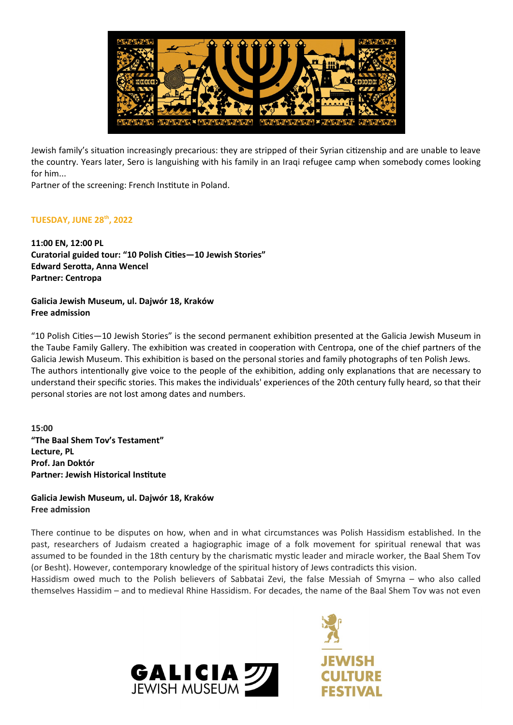

Jewish family's situation increasingly precarious: they are stripped of their Syrian citizenship and are unable to leave the country. Years later, Sero is languishing with his family in an Iraqi refugee camp when somebody comes looking for him...

Partner of the screening: French Institute in Poland.

# **TUESDAY, JUNE 28th, 2022**

**11:00 EN, 12:00 PL Curatorial guided tour: "10 Polish Cities—10 Jewish Stories" Edward Serotta, Anna Wencel Partner: Centropa**

### **Galicia Jewish Museum, ul. Dajwór 18, Kraków Free admission**

"10 Polish Cities—10 Jewish Stories" is the second permanent exhibition presented at the Galicia Jewish Museum in the Taube Family Gallery. The exhibition was created in cooperation with Centropa, one of the chief partners of the Galicia Jewish Museum. This exhibition is based on the personal stories and family photographs of ten Polish Jews. The authors intentionally give voice to the people of the exhibition, adding only explanations that are necessary to understand their specific stories. This makes the individuals' experiences of the 20th century fully heard, so that their personal stories are not lost among dates and numbers.

**15:00 "The Baal Shem Tov's Testament" Lecture, PL Prof. Jan Doktór Partner: Jewish Historical Institute**

### **Galicia Jewish Museum, ul. Dajwór 18, Kraków Free admission**

There continue to be disputes on how, when and in what circumstances was Polish Hassidism established. In the past, researchers of Judaism created a hagiographic image of a folk movement for spiritual renewal that was assumed to be founded in the 18th century by the charismatic mystic leader and miracle worker, the Baal Shem Tov (or Besht). However, contemporary knowledge of the spiritual history of Jews contradicts this vision.

Hassidism owed much to the Polish believers of Sabbatai Zevi, the false Messiah of Smyrna – who also called themselves Hassidim – and to medieval Rhine Hassidism. For decades, the name of the Baal Shem Tov was not even

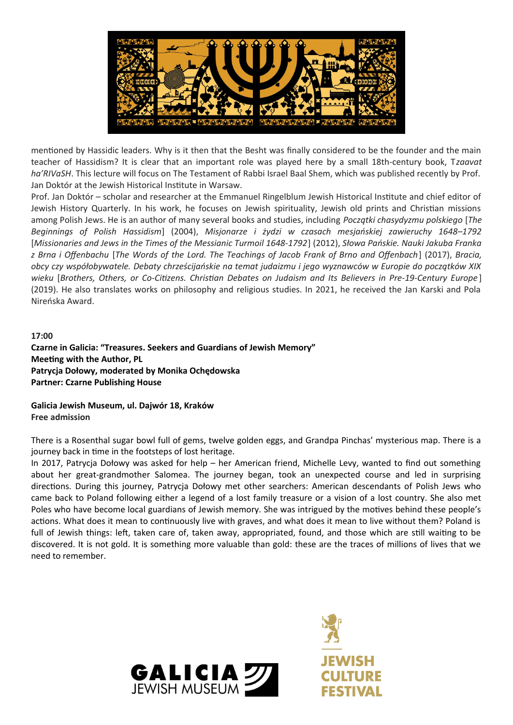

mentioned by Hassidic leaders. Why is it then that the Besht was finally considered to be the founder and the main teacher of Hassidism? It is clear that an important role was played here by a small 18th-century book, T*zaavat ha'RIVaSH*. This lecture will focus on The Testament of Rabbi Israel Baal Shem, which was published recently by Prof. Jan Doktór at the Jewish Historical Institute in Warsaw.

Prof. Jan Doktór – scholar and researcher at the Emmanuel Ringelblum Jewish Historical Institute and chief editor of Jewish History Quarterly. In his work, he focuses on Jewish spirituality, Jewish old prints and Christian missions among Polish Jews. He is an author of many several books and studies, including *Początki chasydyzmu polskiego* [*The Beginnings of Polish Hassidism*] (2004), *Misjonarze i żydzi w czasach mesjańskiej zawieruchy 1648–1792* [*Missionaries and Jews in the Times of the Messianic Turmoil 1648-1792*] (2012), *Słowa Pańskie. Nauki Jakuba Franka z Brna i Offenbachu* [*The Words of the Lord. The Teachings of Jacob Frank of Brno and Offenbach*] (2017), *Bracia, obcy czy współobywatele. Debaty chrześcijańskie na temat judaizmu i jego wyznawców w Europie do początków XIX wieku* [*Brothers, Others, or Co-Citizens. Christian Debates on Judaism and Its Believers in Pre-19-Century Europe* ] (2019). He also translates works on philosophy and religious studies. In 2021, he received the Jan Karski and Pola Nireńska Award.

#### **17:00**

**Czarne in Galicia: "Treasures. Seekers and Guardians of Jewish Memory" Meeting with the Author, PL Patrycja Dołowy, moderated by Monika Ochędowska Partner: Czarne Publishing House**

**Galicia Jewish Museum, ul. Dajwór 18, Kraków Free admission**

There is a Rosenthal sugar bowl full of gems, twelve golden eggs, and Grandpa Pinchas' mysterious map. There is a journey back in time in the footsteps of lost heritage.

In 2017, Patrycja Dołowy was asked for help – her American friend, Michelle Levy, wanted to find out something about her great-grandmother Salomea. The journey began, took an unexpected course and led in surprising directions. During this journey, Patrycja Dołowy met other searchers: American descendants of Polish Jews who came back to Poland following either a legend of a lost family treasure or a vision of a lost country. She also met Poles who have become local guardians of Jewish memory. She was intrigued by the motives behind these people's actions. What does it mean to continuously live with graves, and what does it mean to live without them? Poland is full of Jewish things: left, taken care of, taken away, appropriated, found, and those which are still waiting to be discovered. It is not gold. It is something more valuable than gold: these are the traces of millions of lives that we need to remember.



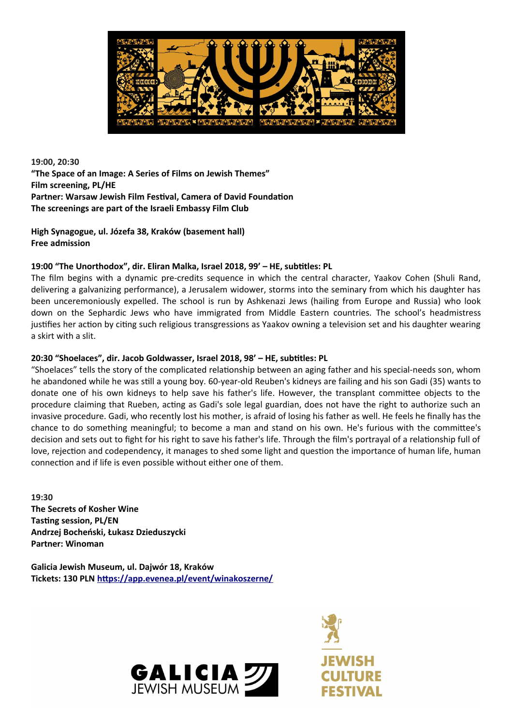

# **19:00, 20:30 "The Space of an Image: A Series of Films on Jewish Themes" Film screening, PL/HE Partner: Warsaw Jewish Film Festival, Camera of David Foundation The screenings are part of the Israeli Embassy Film Club**

**High Synagogue, ul. Józefa 38, Kraków (basement hall) Free admission**

# **19:00 "The Unorthodox", dir. Eliran Malka, Israel 2018, 99' – HE, subtitles: PL**

The film begins with a dynamic pre-credits sequence in which the central character, Yaakov Cohen (Shuli Rand, delivering a galvanizing performance), a Jerusalem widower, storms into the seminary from which his daughter has been unceremoniously expelled. The school is run by Ashkenazi Jews (hailing from Europe and Russia) who look down on the Sephardic Jews who have immigrated from Middle Eastern countries. The school's headmistress justifies her action by citing such religious transgressions as Yaakov owning a television set and his daughter wearing a skirt with a slit.

### **20:30 "Shoelaces", dir. Jacob Goldwasser, Israel 2018, 98' – HE, subtitles: PL**

"Shoelaces" tells the story of the complicated relationship between an aging father and his special-needs son, whom he abandoned while he was still a young boy. 60-year-old Reuben's kidneys are failing and his son Gadi (35) wants to donate one of his own kidneys to help save his father's life. However, the transplant committee objects to the procedure claiming that Rueben, acting as Gadi's sole legal guardian, does not have the right to authorize such an invasive procedure. Gadi, who recently lost his mother, is afraid of losing his father as well. He feels he finally has the chance to do something meaningful; to become a man and stand on his own. He's furious with the committee's decision and sets out to fight for his right to save his father's life. Through the film's portrayal of a relationship full of love, rejection and codependency, it manages to shed some light and question the importance of human life, human connection and if life is even possible without either one of them.

**19:30 The Secrets of Kosher Wine Tasting session, PL/EN Andrzej Bocheński, Łukasz Dzieduszycki Partner: Winoman**

**Galicia Jewish Museum, ul. Dajwór 18, Kraków Tickets: 130 PLN <https://app.evenea.pl/event/winakoszerne/>**



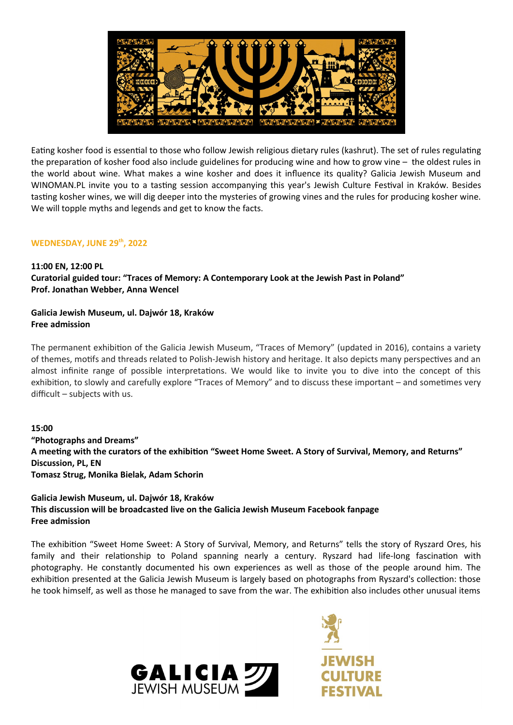

Eating kosher food is essential to those who follow Jewish religious dietary rules (kashrut). The set of rules regulating the preparation of kosher food also include guidelines for producing wine and how to grow vine – the oldest rules in the world about wine. What makes a wine kosher and does it influence its quality? Galicia Jewish Museum and WINOMAN.PL invite you to a tasting session accompanying this year's Jewish Culture Festival in Kraków. Besides tasting kosher wines, we will dig deeper into the mysteries of growing vines and the rules for producing kosher wine. We will topple myths and legends and get to know the facts.

### **WEDNESDAY, JUNE 29th, 2022**

#### **11:00 EN, 12:00 PL**

**Curatorial guided tour: "Traces of Memory: A Contemporary Look at the Jewish Past in Poland" Prof. Jonathan Webber, Anna Wencel**

# **Galicia Jewish Museum, ul. Dajwór 18, Kraków Free admission**

The permanent exhibition of the Galicia Jewish Museum, "Traces of Memory" (updated in 2016), contains a variety of themes, motifs and threads related to Polish-Jewish history and heritage. It also depicts many perspectives and an almost infinite range of possible interpretations. We would like to invite you to dive into the concept of this exhibition, to slowly and carefully explore "Traces of Memory" and to discuss these important – and sometimes very difficult – subjects with us.

**15:00 "Photographs and Dreams" A meeting with the curators of the exhibition "Sweet Home Sweet. A Story of Survival, Memory, and Returns" Discussion, PL, EN Tomasz Strug, Monika Bielak, Adam Schorin**

# **Galicia Jewish Museum, ul. Dajwór 18, Kraków This discussion will be broadcasted live on the Galicia Jewish Museum Facebook fanpage Free admission**

The exhibition "Sweet Home Sweet: A Story of Survival, Memory, and Returns" tells the story of Ryszard Ores, his family and their relationship to Poland spanning nearly a century. Ryszard had life-long fascination with photography. He constantly documented his own experiences as well as those of the people around him. The exhibition presented at the Galicia Jewish Museum is largely based on photographs from Ryszard's collection: those he took himself, as well as those he managed to save from the war. The exhibition also includes other unusual items



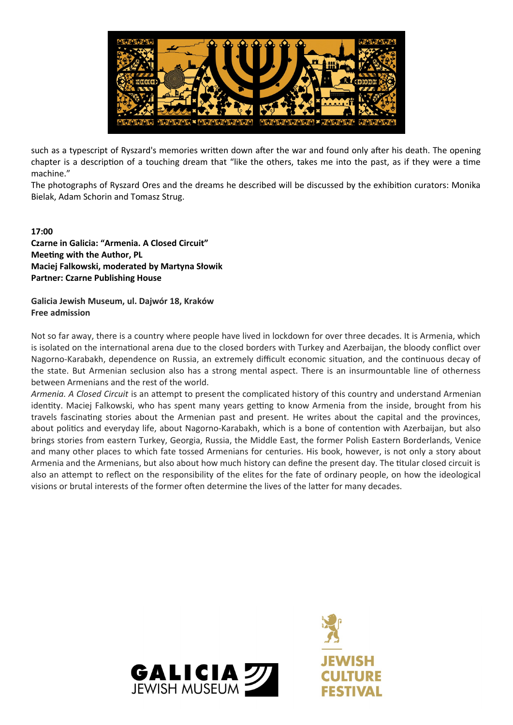

such as a typescript of Ryszard's memories written down after the war and found only after his death. The opening chapter is a description of a touching dream that "like the others, takes me into the past, as if they were a time machine."

The photographs of Ryszard Ores and the dreams he described will be discussed by the exhibition curators: Monika Bielak, Adam Schorin and Tomasz Strug.

# **17:00**

**Czarne in Galicia: "Armenia. A Closed Circuit" Meeting with the Author, PL Maciej Falkowski, moderated by Martyna Słowik Partner: Czarne Publishing House**

#### **Galicia Jewish Museum, ul. Dajwór 18, Kraków Free admission**

Not so far away, there is a country where people have lived in lockdown for over three decades. It is Armenia, which is isolated on the international arena due to the closed borders with Turkey and Azerbaijan, the bloody conflict over Nagorno-Karabakh, dependence on Russia, an extremely difficult economic situation, and the continuous decay of the state. But Armenian seclusion also has a strong mental aspect. There is an insurmountable line of otherness between Armenians and the rest of the world.

*Armenia. A Closed Circuit* is an attempt to present the complicated history of this country and understand Armenian identity. Maciej Falkowski, who has spent many years getting to know Armenia from the inside, brought from his travels fascinating stories about the Armenian past and present. He writes about the capital and the provinces, about politics and everyday life, about Nagorno-Karabakh, which is a bone of contention with Azerbaijan, but also brings stories from eastern Turkey, Georgia, Russia, the Middle East, the former Polish Eastern Borderlands, Venice and many other places to which fate tossed Armenians for centuries. His book, however, is not only a story about Armenia and the Armenians, but also about how much history can define the present day. The titular closed circuit is also an attempt to reflect on the responsibility of the elites for the fate of ordinary people, on how the ideological visions or brutal interests of the former often determine the lives of the latter for many decades.



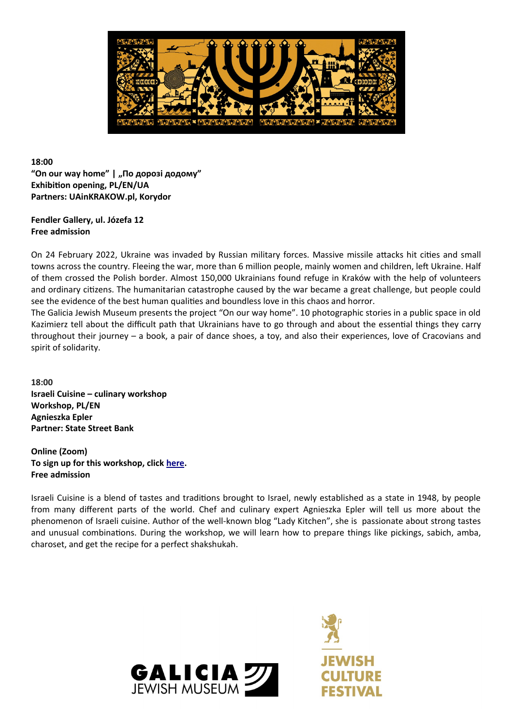

# **18:00** "On our way home" | "По дорозі додому" **Exhibition opening, PL/EN/UA Partners: UAinKRAKOW.pl, Korydor**

# **Fendler Gallery, ul. Józefa 12 Free admission**

On 24 February 2022, Ukraine was invaded by Russian military forces. Massive missile attacks hit cities and small towns across the country. Fleeing the war, more than 6 million people, mainly women and children, left Ukraine. Half of them crossed the Polish border. Almost 150,000 Ukrainians found refuge in Kraków with the help of volunteers and ordinary citizens. The humanitarian catastrophe caused by the war became a great challenge, but people could see the evidence of the best human qualities and boundless love in this chaos and horror.

The Galicia Jewish Museum presents the project "On our way home". 10 photographic stories in a public space in old Kazimierz tell about the difficult path that Ukrainians have to go through and about the essential things they carry throughout their journey – a book, a pair of dance shoes, a toy, and also their experiences, love of Cracovians and spirit of solidarity.

**18:00 Israeli Cuisine – culinary workshop Workshop, PL/EN Agnieszka Epler Partner: State Street Bank**

**Online (Zoom) To sign up for this workshop, click [here](https://us06web.zoom.us/webinar/register/WN_5lO3u-SUTzmsUyZ35DrEcQ). Free admission**

Israeli Cuisine is a blend of tastes and traditions brought to Israel, newly established as a state in 1948, by people from many different parts of the world. Chef and culinary expert Agnieszka Epler will tell us more about the phenomenon of Israeli cuisine. Author of the well-known blog "Lady Kitchen", she is passionate about strong tastes and unusual combinations. During the workshop, we will learn how to prepare things like pickings, sabich, amba, charoset, and get the recipe for a perfect shakshukah.



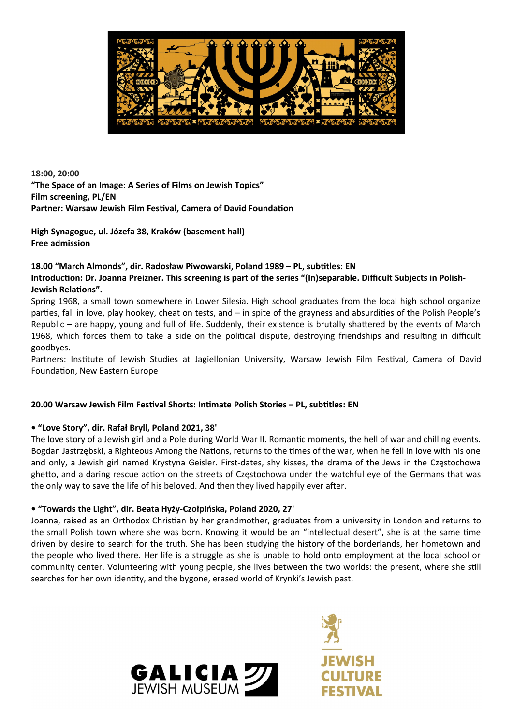

**18:00, 20:00 "The Space of an Image: A Series of Films on Jewish Topics" Film screening, PL/EN Partner: Warsaw Jewish Film Festival, Camera of David Foundation**

**High Synagogue, ul. Józefa 38, Kraków (basement hall) Free admission**

# **18.00 "March Almonds", dir. Radosław Piwowarski, Poland 1989 – PL, subtitles: EN Introduction: Dr. Joanna Preizner. This screening is part of the series "(In)separable. Difficult Subjects in Polish-Jewish Relations".**

Spring 1968, a small town somewhere in Lower Silesia. High school graduates from the local high school organize parties, fall in love, play hookey, cheat on tests, and – in spite of the grayness and absurdities of the Polish People's Republic – are happy, young and full of life. Suddenly, their existence is brutally shattered by the events of March 1968, which forces them to take a side on the political dispute, destroying friendships and resulting in difficult goodbyes.

Partners: Institute of Jewish Studies at Jagiellonian University, Warsaw Jewish Film Festival, Camera of David Foundation, New Eastern Europe

# **20.00 Warsaw Jewish Film Festival Shorts: Intimate Polish Stories – PL, subtitles: EN**

# **• "Love Story", dir. Rafał Bryll, Poland 2021, 38'**

The love story of a Jewish girl and a Pole during World War II. Romantic moments, the hell of war and chilling events. Bogdan Jastrzębski, a Righteous Among the Nations, returns to the times of the war, when he fell in love with his one and only, a Jewish girl named Krystyna Geisler. First-dates, shy kisses, the drama of the Jews in the Częstochowa ghetto, and a daring rescue action on the streets of Częstochowa under the watchful eye of the Germans that was the only way to save the life of his beloved. And then they lived happily ever after.

# **• "Towards the Light", dir. Beata Hyży-Czołpińska, Poland 2020, 27'**

Joanna, raised as an Orthodox Christian by her grandmother, graduates from a university in London and returns to the small Polish town where she was born. Knowing it would be an "intellectual desert", she is at the same time driven by desire to search for the truth. She has been studying the history of the borderlands, her hometown and the people who lived there. Her life is a struggle as she is unable to hold onto employment at the local school or community center. Volunteering with young people, she lives between the two worlds: the present, where she still searches for her own identity, and the bygone, erased world of Krynki's Jewish past.

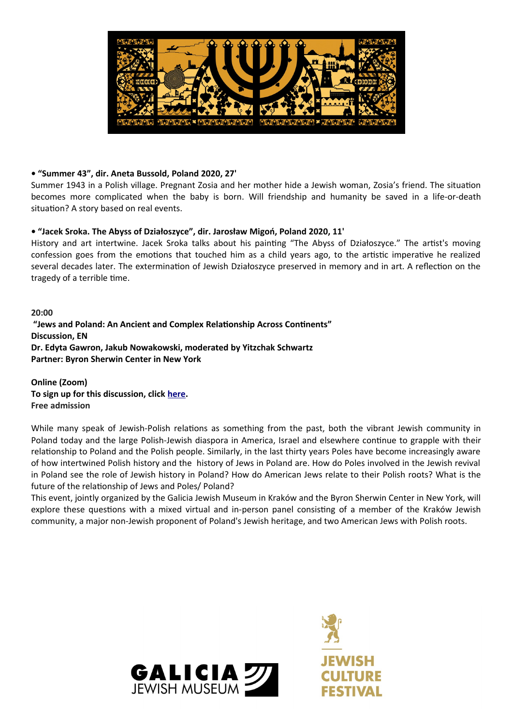

# **• "Summer 43", dir. Aneta Bussold, Poland 2020, 27'**

Summer 1943 in a Polish village. Pregnant Zosia and her mother hide a Jewish woman, Zosia's friend. The situation becomes more complicated when the baby is born. Will friendship and humanity be saved in a life-or-death situation? A story based on real events.

### **• "Jacek Sroka. The Abyss of Działoszyce", dir. Jarosław Migoń, Poland 2020, 11'**

History and art intertwine. Jacek Sroka talks about his painting "The Abyss of Działoszyce." The artist's moving confession goes from the emotions that touched him as a child years ago, to the artistic imperative he realized several decades later. The extermination of Jewish Działoszyce preserved in memory and in art. A reflection on the tragedy of a terrible time.

**20:00 "Jews and Poland: An Ancient and Complex Relationship Across Continents" Discussion, EN Dr. Edyta Gawron, Jakub Nowakowski, moderated by Yitzchak Schwartz Partner: Byron Sherwin Center in New York**

**Online (Zoom) To sign up for this discussion, click [here](https://us06web.zoom.us/webinar/register/WN_htGTMhiJTTGawiYlcbZXMw). Free admission**

While many speak of Jewish-Polish relations as something from the past, both the vibrant Jewish community in Poland today and the large Polish-Jewish diaspora in America, Israel and elsewhere continue to grapple with their relationship to Poland and the Polish people. Similarly, in the last thirty years Poles have become increasingly aware of how intertwined Polish history and the history of Jews in Poland are. How do Poles involved in the Jewish revival in Poland see the role of Jewish history in Poland? How do American Jews relate to their Polish roots? What is the future of the relationship of Jews and Poles/ Poland?

This event, jointly organized by the Galicia Jewish Museum in Kraków and the Byron Sherwin Center in New York, will explore these questions with a mixed virtual and in-person panel consisting of a member of the Kraków Jewish community, a major non-Jewish proponent of Poland's Jewish heritage, and two American Jews with Polish roots.



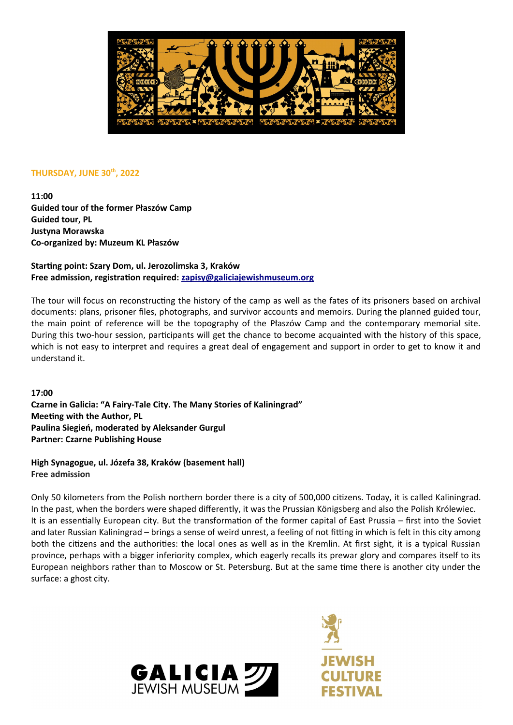

### **THURSDAY, JUNE 30th, 2022**

**11:00 Guided tour of the former Płaszów Camp Guided tour, PL Justyna Morawska Co-organized by: Muzeum KL Płaszów**

# **Starting point: Szary Dom, ul. Jerozolimska 3, Kraków Free admission, registration required: [zapisy@galiciajewishmuseum.org](mailto:zapisy@galiciajewishmuseum.org)**

The tour will focus on reconstructing the history of the camp as well as the fates of its prisoners based on archival documents: plans, prisoner files, photographs, and survivor accounts and memoirs. During the planned guided tour, the main point of reference will be the topography of the Płaszów Camp and the contemporary memorial site. During this two-hour session, participants will get the chance to become acquainted with the history of this space, which is not easy to interpret and requires a great deal of engagement and support in order to get to know it and understand it.

**17:00 Czarne in Galicia: "A Fairy-Tale City. The Many Stories of Kaliningrad" Meeting with the Author, PL Paulina Siegień, moderated by Aleksander Gurgul Partner: Czarne Publishing House**

**High Synagogue, ul. Józefa 38, Kraków (basement hall) Free admission**

Only 50 kilometers from the Polish northern border there is a city of 500,000 citizens. Today, it is called Kaliningrad. In the past, when the borders were shaped differently, it was the Prussian Königsberg and also the Polish Królewiec. It is an essentially European city. But the transformation of the former capital of East Prussia – first into the Soviet and later Russian Kaliningrad – brings a sense of weird unrest, a feeling of not fitting in which is felt in this city among both the citizens and the authorities: the local ones as well as in the Kremlin. At first sight, it is a typical Russian province, perhaps with a bigger inferiority complex, which eagerly recalls its prewar glory and compares itself to its European neighbors rather than to Moscow or St. Petersburg. But at the same time there is another city under the surface: a ghost city.



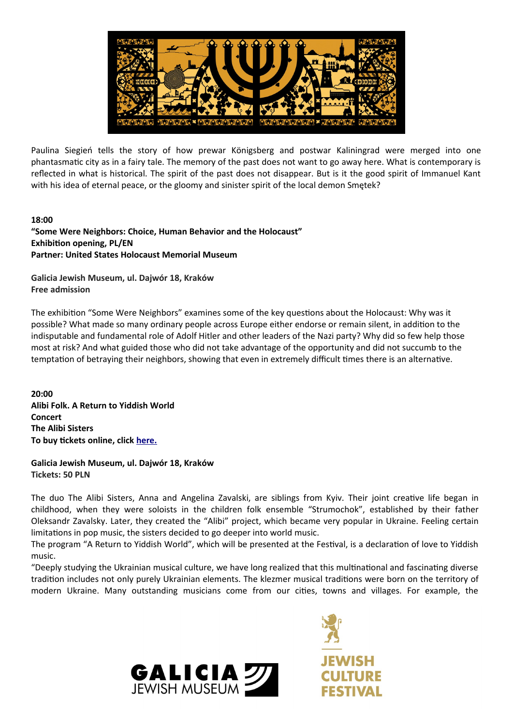

Paulina Siegień tells the story of how prewar Königsberg and postwar Kaliningrad were merged into one phantasmatic city as in a fairy tale. The memory of the past does not want to go away here. What is contemporary is reflected in what is historical. The spirit of the past does not disappear. But is it the good spirit of Immanuel Kant with his idea of eternal peace, or the gloomy and sinister spirit of the local demon Smetek?

### **18:00**

**"Some Were Neighbors: Choice, Human Behavior and the Holocaust" Exhibition opening, PL/EN Partner: United States Holocaust Memorial Museum**

**Galicia Jewish Museum, ul. Dajwór 18, Kraków Free admission**

The exhibition "Some Were Neighbors" examines some of the key questions about the Holocaust: Why was it possible? What made so many ordinary people across Europe either endorse or remain silent, in addition to the indisputable and fundamental role of Adolf Hitler and other leaders of the Nazi party? Why did so few help those most at risk? And what guided those who did not take advantage of the opportunity and did not succumb to the temptation of betraying their neighbors, showing that even in extremely difficult times there is an alternative.

**20:00 Alibi Folk. A Return to Yiddish World Concert The Alibi Sisters To buy tickets online, click [here.](https://tickets-online.galiciajewishmuseum.org/en/event/thursday-30-06-2022-2000pm-the-alibi-sisters-alibi-folk-a-return-to-yiddish-world)**

**Galicia Jewish Museum, ul. Dajwór 18, Kraków Tickets: 50 PLN**

The duo The Alibi Sisters, Anna and Angelina Zavalski, are siblings from Kyiv. Their joint creative life began in childhood, when they were soloists in the children folk ensemble "Strumochok", established by their father Oleksandr Zavalsky. Later, they created the "Alibi" project, which became very popular in Ukraine. Feeling certain limitations in pop music, the sisters decided to go deeper into world music.

The program "A Return to Yiddish World", which will be presented at the Festival, is a declaration of love to Yiddish music.

"Deeply studying the Ukrainian musical culture, we have long realized that this multinational and fascinating diverse tradition includes not only purely Ukrainian elements. The klezmer musical traditions were born on the territory of modern Ukraine. Many outstanding musicians come from our cities, towns and villages. For example, the

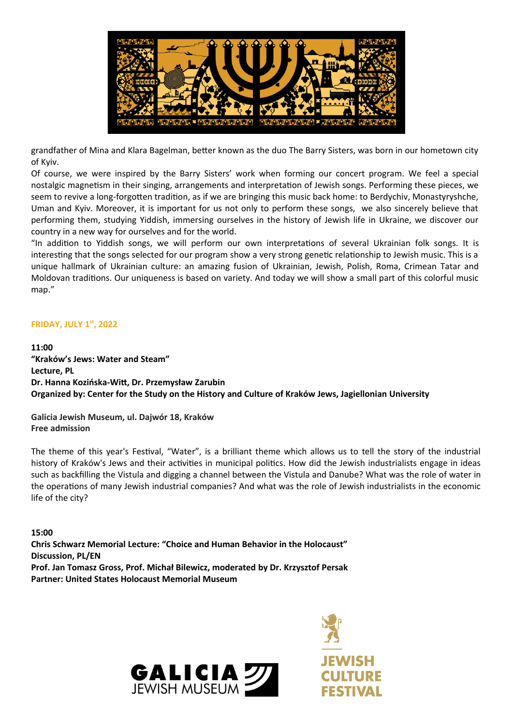

grandfather of Mina and Klara Bagelman, better known as the duo The Barry Sisters, was born in our hometown city of Kyiv.

Of course, we were inspired by the Barry Sisters' work when forming our concert program. We feel a special nostalgic magnetism in their singing, arrangements and interpretation of Jewish songs. Performing these pieces, we seem to revive a long-forgotten tradition, as if we are bringing this music back home: to Berdychiv, Monastyryshche, Uman and Kyiv. Moreover, it is important for us not only to perform these songs, we also sincerely believe that performing them, studying Yiddish, immersing ourselves in the history of Jewish life in Ukraine, we discover our country in a new way for ourselves and for the world.

"In addition to Yiddish songs, we will perform our own interpretations of several Ukrainian folk songs. It is interesting that the songs selected for our program show a very strong genetic relationship to Jewish music. This is a unique hallmark of Ukrainian culture: an amazing fusion of Ukrainian, Jewish, Polish, Roma, Crimean Tatar and Moldovan traditions. Our uniqueness is based on variety. And today we will show a small part of this colorful music map."

### **FRIDAY, JULY 1st, 2022**

**11:00 "Kraków's Jews: Water and Steam" Lecture, PL Dr. Hanna Kozińska-Witt, Dr. Przemysław Zarubin Organized by: Center for the Study on the History and Culture of Kraków Jews, Jagiellonian University**

**Galicia Jewish Museum, ul. Dajwór 18, Kraków Free admission**

The theme of this year's Festival, "Water", is a brilliant theme which allows us to tell the story of the industrial history of Kraków's Jews and their activities in municipal politics. How did the Jewish industrialists engage in ideas such as backfilling the Vistula and digging a channel between the Vistula and Danube? What was the role of water in the operations of many Jewish industrial companies? And what was the role of Jewish industrialists in the economic life of the city?

**15:00 Chris Schwarz Memorial Lecture: "Choice and Human Behavior in the Holocaust" Discussion, PL/EN Prof. Jan Tomasz Gross, Prof. Michał Bilewicz, moderated by Dr. Krzysztof Persak Partner: United States Holocaust Memorial Museum**



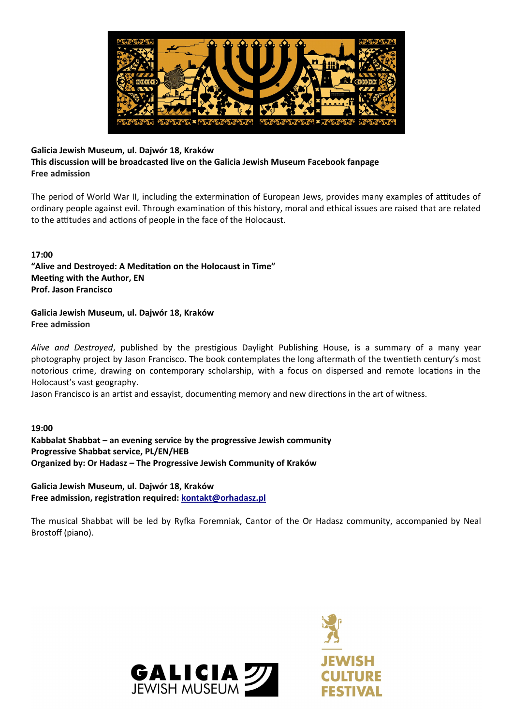

# **Galicia Jewish Museum, ul. Dajwór 18, Kraków**

**This discussion will be broadcasted live on the Galicia Jewish Museum Facebook fanpage Free admission**

The period of World War II, including the extermination of European Jews, provides many examples of attitudes of ordinary people against evil. Through examination of this history, moral and ethical issues are raised that are related to the attitudes and actions of people in the face of the Holocaust.

**17:00 "Alive and Destroyed: A Meditation on the Holocaust in Time" Meeting with the Author, EN Prof. Jason Francisco**

**Galicia Jewish Museum, ul. Dajwór 18, Kraków Free admission**

*Alive and Destroyed*, published by the prestigious Daylight Publishing House, is a summary of a many year photography project by Jason Francisco. The book contemplates the long aftermath of the twentieth century's most notorious crime, drawing on contemporary scholarship, with a focus on dispersed and remote locations in the Holocaust's vast geography.

Jason Francisco is an artist and essayist, documenting memory and new directions in the art of witness.

**19:00 Kabbalat Shabbat – an evening service by the progressive Jewish community Progressive Shabbat service, PL/EN/HEB Organized by: Or Hadasz – The Progressive Jewish Community of Kraków**

**Galicia Jewish Museum, ul. Dajwór 18, Kraków Free admission, registration required: [kontakt@orhadasz.pl](mailto:kontakt@orhadasz.pl)**

The musical Shabbat will be led by Ryfka Foremniak, Cantor of the Or Hadasz community, accompanied by Neal Brostoff (piano).



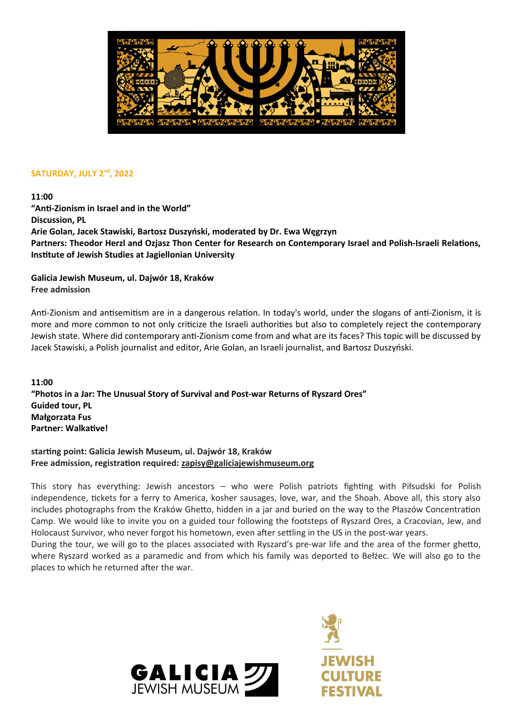

### **SATURDAY, JULY 2nd, 2022**

**11:00**

**"Anti-Zionism in Israel and in the World" Discussion, PL Arie Golan, Jacek Stawiski, Bartosz Duszyński, moderated by Dr. Ewa Węgrzyn Partners: Theodor Herzl and Ozjasz Thon Center for Research on Contemporary Israel and Polish-Israeli Relations, Institute of Jewish Studies at Jagiellonian University**

**Galicia Jewish Museum, ul. Dajwór 18, Kraków Free admission**

Anti-Zionism and antisemitism are in a dangerous relation. In today's world, under the slogans of anti-Zionism, it is more and more common to not only criticize the Israeli authorities but also to completely reject the contemporary Jewish state. Where did contemporary anti-Zionism come from and what are its faces? This topic will be discussed by Jacek Stawiski, a Polish journalist and editor, Arie Golan, an Israeli journalist, and Bartosz Duszyński.

**11:00 "Photos in a Jar: The Unusual Story of Survival and Post-war Returns of Ryszard Ores" Guided tour, PL Małgorzata Fus Partner: Walkative!**

**starting point: Galicia Jewish Museum, ul. Dajwór 18, Kraków Free admission, registration required: [zapisy@galiciajewishmuseum.org](mailto:zapisy@galiciajewishmuseum.org)**

This story has everything: Jewish ancestors – who were Polish patriots fighting with Piłsudski for Polish independence, tickets for a ferry to America, kosher sausages, love, war, and the Shoah. Above all, this story also includes photographs from the Kraków Ghetto, hidden in a jar and buried on the way to the Płaszów Concentration Camp. We would like to invite you on a guided tour following the footsteps of Ryszard Ores, a Cracovian, Jew, and Holocaust Survivor, who never forgot his hometown, even after settling in the US in the post-war years.

During the tour, we will go to the places associated with Ryszard's pre-war life and the area of the former ghetto, where Ryszard worked as a paramedic and from which his family was deported to Bełżec. We will also go to the places to which he returned after the war.



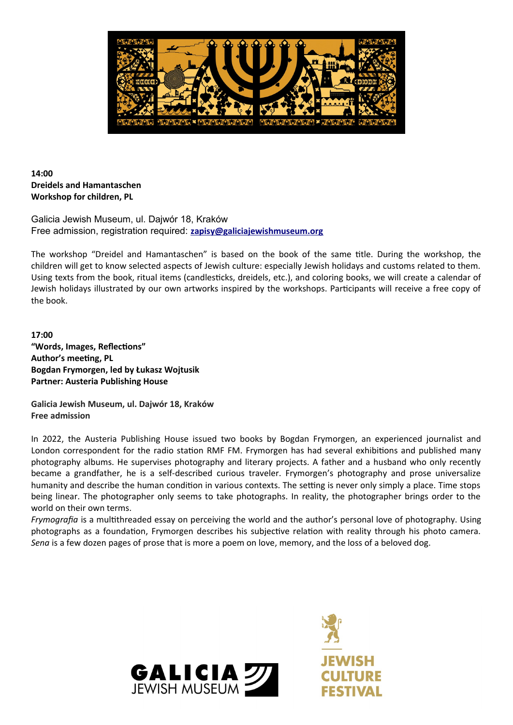

# **14:00 Dreidels and Hamantaschen Workshop for children, PL**

Galicia Jewish Museum, ul. Dajwór 18, Kraków Free admission, registration required: **[zapisy@galiciajewishmuseum.org](mailto:zapisy@galiciajewishmuseum.org)**

The workshop "Dreidel and Hamantaschen" is based on the book of the same title. During the workshop, the children will get to know selected aspects of Jewish culture: especially Jewish holidays and customs related to them. Using texts from the book, ritual items (candlesticks, dreidels, etc.), and coloring books, we will create a calendar of Jewish holidays illustrated by our own artworks inspired by the workshops. Participants will receive a free copy of the book.

**17:00 "Words, Images, Reflections" Author's meeting, PL Bogdan Frymorgen, led by Łukasz Wojtusik Partner: Austeria Publishing House**

**Galicia Jewish Museum, ul. Dajwór 18, Kraków Free admission**

In 2022, the Austeria Publishing House issued two books by Bogdan Frymorgen, an experienced journalist and London correspondent for the radio station RMF FM. Frymorgen has had several exhibitions and published many photography albums. He supervises photography and literary projects. A father and a husband who only recently became a grandfather, he is a self-described curious traveler. Frymorgen's photography and prose universalize humanity and describe the human condition in various contexts. The setting is never only simply a place. Time stops being linear. The photographer only seems to take photographs. In reality, the photographer brings order to the world on their own terms.

*Frymografia* is a multithreaded essay on perceiving the world and the author's personal love of photography. Using photographs as a foundation, Frymorgen describes his subjective relation with reality through his photo camera. *Sena* is a few dozen pages of prose that is more a poem on love, memory, and the loss of a beloved dog.

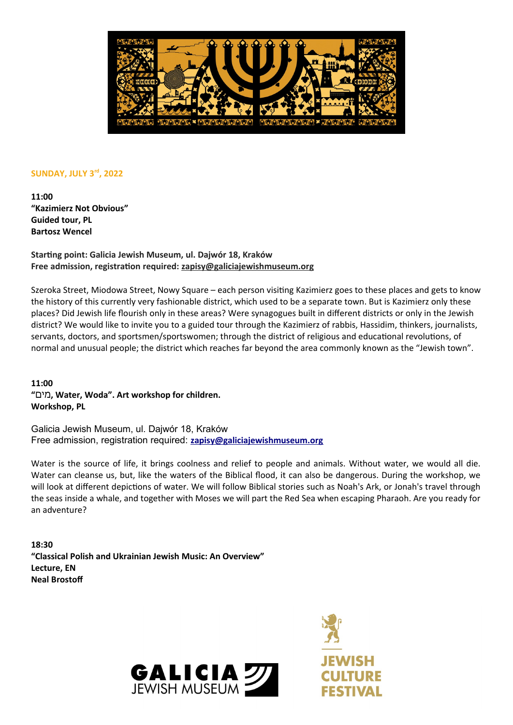

### **SUNDAY, JULY 3rd, 2022**

**11:00 "Kazimierz Not Obvious" Guided tour, PL Bartosz Wencel**

**Starting point: Galicia Jewish Museum, ul. Dajwór 18, Kraków Free admission, registration required: [zapisy@galiciajewishmuseum.org](mailto:zapisy@galiciajewishmuseum.org)**

Szeroka Street, Miodowa Street, Nowy Square – each person visiting Kazimierz goes to these places and gets to know the history of this currently very fashionable district, which used to be a separate town. But is Kazimierz only these places? Did Jewish life flourish only in these areas? Were synagogues built in different districts or only in the Jewish district? We would like to invite you to a guided tour through the Kazimierz of rabbis, Hassidim, thinkers, journalists, servants, doctors, and sportsmen/sportswomen; through the district of religious and educational revolutions, of normal and unusual people; the district which reaches far beyond the area commonly known as the "Jewish town".

**11:00 "**מים**, Water, Woda". Art workshop for children. Workshop, PL**

Galicia Jewish Museum, ul. Dajwór 18, Kraków Free admission, registration required: **zapisy@galiciajewishmuseum.org**

Water is the source of life, it brings coolness and relief to people and animals. Without water, we would all die. Water can cleanse us, but, like the waters of the Biblical flood, it can also be dangerous. During the workshop, we will look at different depictions of water. We will follow Biblical stories such as Noah's Ark, or Jonah's travel through the seas inside a whale, and together with Moses we will part the Red Sea when escaping Pharaoh. Are you ready for an adventure?

**18:30 "Classical Polish and Ukrainian Jewish Music: An Overview" Lecture, EN Neal Brostoff**